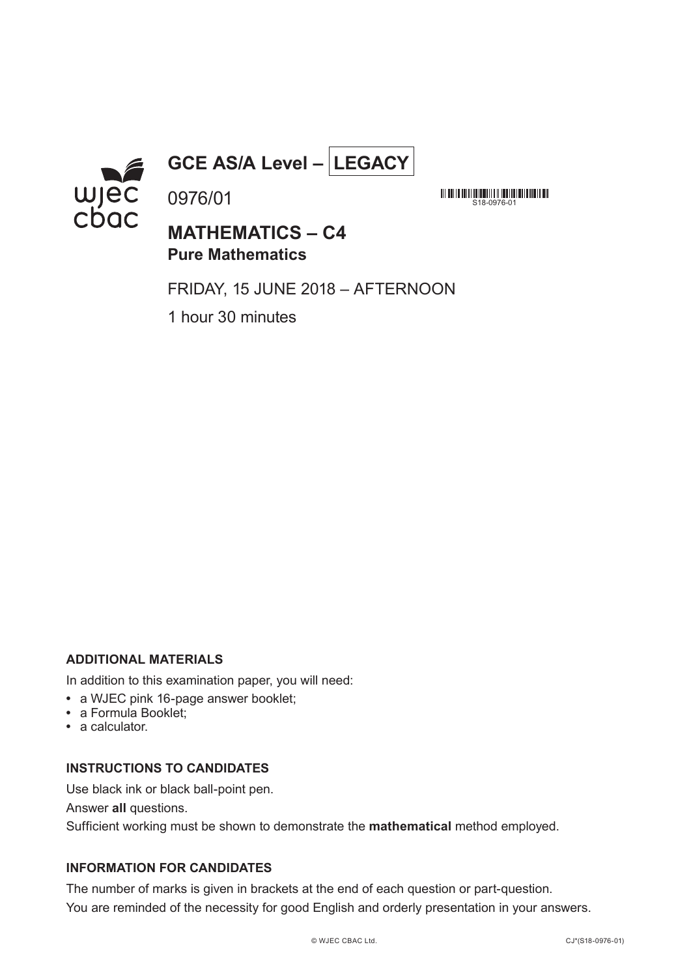

# **GCE AS/A Level – LEGACY**

**MATHEMATICS – C4 Pure Mathematics**

S18-0976-01

FRIDAY, 15 JUNE 2018 – AFTERNOON

1 hour 30 minutes

0976/01

### **ADDITIONAL MATERIALS**

In addition to this examination paper, you will need:

- **•** a WJEC pink 16-page answer booklet;
- **•** a Formula Booklet;
- **•** a calculator.

#### **INSTRUCTIONS TO CANDIDATES**

Use black ink or black ball-point pen.

Answer **all** questions.

Sufficient working must be shown to demonstrate the **mathematical** method employed.

## **INFORMATION FOR CANDIDATES**

The number of marks is given in brackets at the end of each question or part-question. You are reminded of the necessity for good English and orderly presentation in your answers.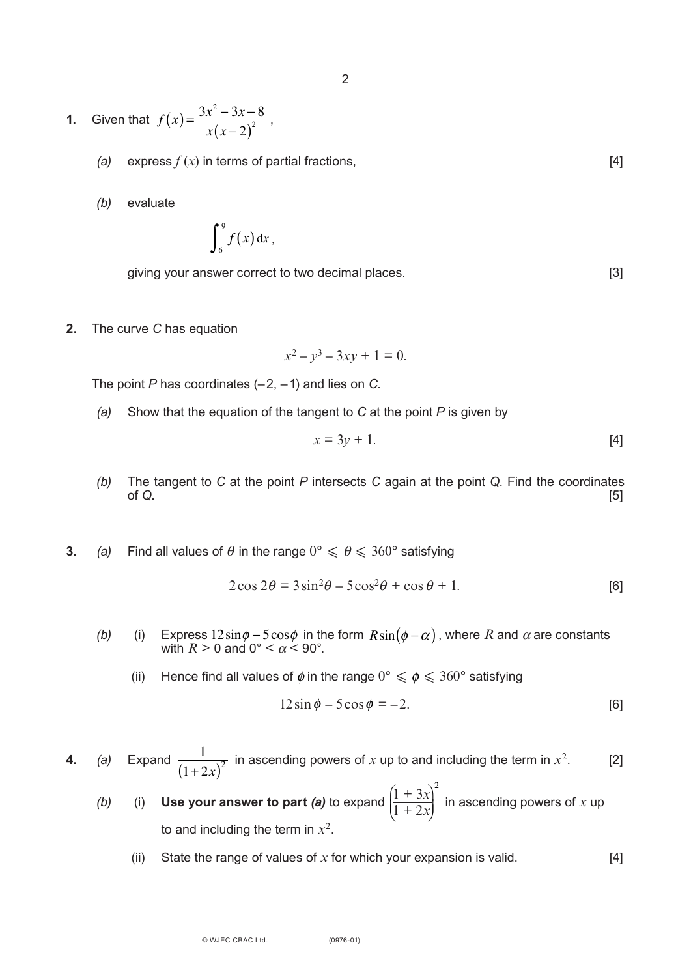**1.** Given that  $f(x) = \frac{3x^2 - 3x - 8}{(x - 3)^2}$ ,  $x(x-2)^2$ 

- *(a)* express  $f(x)$  in terms of partial fractions,  $[4]$
- *(b)* evaluate

$$
\int_6^9 f(x) \, \mathrm{d} x \, ,
$$

giving your answer correct to two decimal places. [3]

**2.** The curve *C* has equation

$$
x^2 - y^3 - 3xy + 1 = 0.
$$

The point *P* has coordinates (–2, –1) and lies on *C*.

*(a)* Show that the equation of the tangent to *C* at the point *P* is given by

$$
x = 3y + 1.\t\t[4]
$$

- *(b)* The tangent to *C* at the point *P* intersects *C* again at the point *Q*. Find the coordinates of *Q*. [5]
- **3.** (a) Find all values of  $\theta$  in the range  $0^{\circ} \le \theta \le 360^{\circ}$  satisfying

$$
2\cos 2\theta = 3\sin^2 \theta - 5\cos^2 \theta + \cos \theta + 1.
$$
 [6]

- *(b)* (i) Express  $12\sin\phi 5\cos\phi$  in the form  $R\sin(\phi \alpha)$  , where  $R$  and  $\alpha$  are constants with  $R > 0$  and  $0^{\circ} < \alpha < 90^{\circ}$ .  $12\sin\phi - 5\cos\phi$  in the form  $R\sin(\phi - \alpha)$ 
	- (ii) Hence find all values of  $\phi$  in the range  $0^{\circ} \le \phi \le 360^{\circ}$  satisfying

$$
12\sin\phi - 5\cos\phi = -2.
$$
 [6]

- **4.** (a) Expand  $\frac{1}{(1-2)^2}$  in ascending powers of x up to and including the term in  $x^2$ . [2]  $(1+2x)^2$ 
	- *(b)* (i) Use your answer to part *(a)* to expand  $\frac{1}{1+2x}$  in ascending powers of x up to and including the term in  $x^2$ .  $\sqrt{2}$ ⎝ ⎜  $\mathfrak{c}$  $\bar{\mathfrak{c}}_j$  $\left(1 + 3x\right)^2$  $1 + 2x$ 
		- (ii) State the range of values of  $x$  for which your expansion is valid.  $[4]$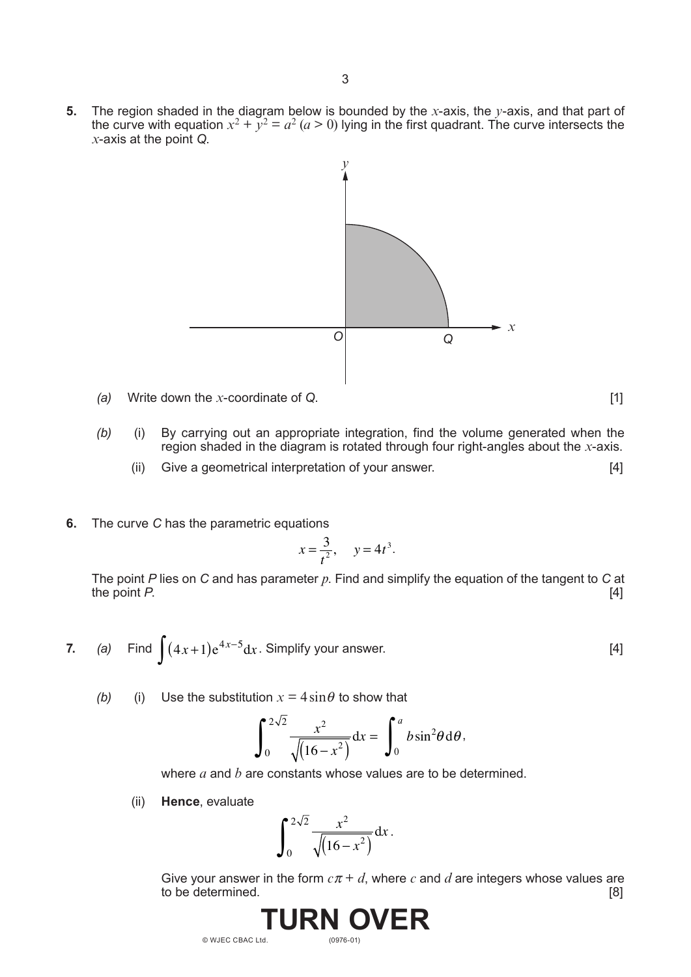**5.** The region shaded in the diagram below is bounded by the *x*-axis, the *y*-axis, and that part of the curve with equation  $x^2 + y^2 = a^2$  ( $a > 0$ ) lying in the first quadrant. The curve intersects the *x*-axis at the point *Q*.



*(a)* Write down the *x*-coordinate of *Q*. [1]

- *(b)* (i) By carrying out an appropriate integration, find the volume generated when the region shaded in the diagram is rotated through four right-angles about the *x*-axis.
	- (ii) Give a geometrical interpretation of your answer. [4]
- **6.** The curve *C* has the parametric equations

$$
x = \frac{3}{t^2}, \quad y = 4t^3.
$$

The point *P* lies on *C* and has parameter *p*. Find and simplify the equation of the tangent to *C* at the point *P*. [4]

- **7.** *(a)* Find  $\int (4x+1)e^{4x-5}dx$ . Simplify your answer. [4]
	- *(b)* (i) Use the substitution  $x = 4 \sin \theta$  to show that

$$
\int_0^{2\sqrt{2}} \frac{x^2}{\sqrt{(16-x^2)}} dx = \int_0^a b \sin^2 \theta d\theta,
$$

where *a* and *b* are constants whose values are to be determined.

(ii) **Hence**, evaluate

$$
\int_0^{2\sqrt{2}} \frac{x^2}{\sqrt{(16-x^2)}} dx.
$$

Give your answer in the form  $c\pi + d$ , where  $c$  and  $d$  are integers whose values are to be determined. [8] to be determined.